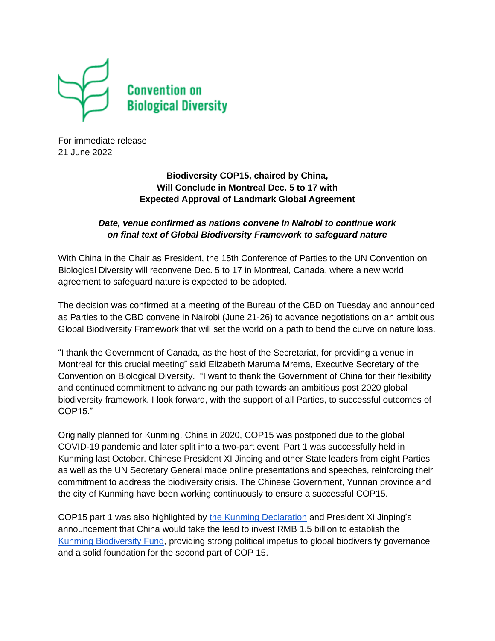

For immediate release 21 June 2022

## **Biodiversity COP15, chaired by China, Will Conclude in Montreal Dec. 5 to 17 with Expected Approval of Landmark Global Agreement**

## *Date, venue confirmed as nations convene in Nairobi to continue work on final text of Global Biodiversity Framework to safeguard nature*

With China in the Chair as President, the 15th Conference of Parties to the UN Convention on Biological Diversity will reconvene Dec. 5 to 17 in Montreal, Canada, where a new world agreement to safeguard nature is expected to be adopted.

The decision was confirmed at a meeting of the Bureau of the CBD on Tuesday and announced as Parties to the CBD convene in Nairobi (June 21-26) to advance negotiations on an ambitious Global Biodiversity Framework that will set the world on a path to bend the curve on nature loss.

"I thank the Government of Canada, as the host of the Secretariat, for providing a venue in Montreal for this crucial meeting" said Elizabeth Maruma Mrema, Executive Secretary of the Convention on Biological Diversity. "I want to thank the Government of China for their flexibility and continued commitment to advancing our path towards an ambitious post 2020 global biodiversity framework. I look forward, with the support of all Parties, to successful outcomes of COP15."

Originally planned for Kunming, China in 2020, COP15 was postponed due to the global COVID-19 pandemic and later split into a two-part event. Part 1 was successfully held in Kunming last October. Chinese President XI Jinping and other State leaders from eight Parties as well as the UN Secretary General made online presentations and speeches, reinforcing their commitment to address the biodiversity crisis. The Chinese Government, Yunnan province and the city of Kunming have been working continuously to ensure a successful COP15.

COP15 part 1 was also highlighted by the Kunming [Declaration](https://www.cbd.int/doc/c/c2db/972a/fb32e0a277bf1ccfff742be5/cop-15-05-add1-en.pdf) and President Xi Jinping's announcement that China would take the lead to invest RMB 1.5 billion to establish the Kunming [Biodiversity](https://www.cbd.int/doc/press/2021/pr-2021-10-13-cop15-hls-en.pdf) Fund, providing strong political impetus to global biodiversity governance and a solid foundation for the second part of COP 15.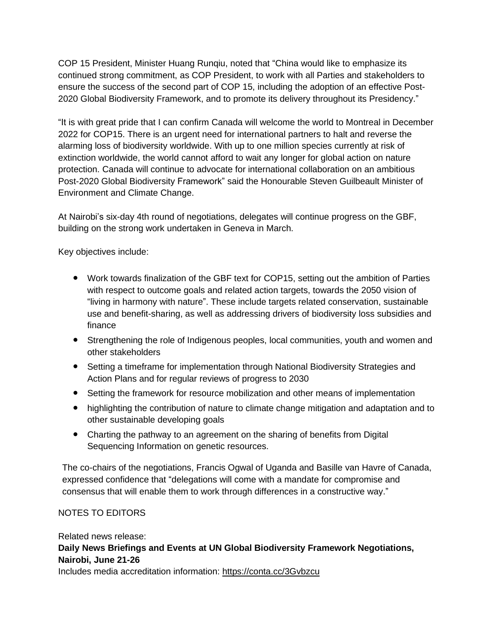COP 15 President, Minister Huang Runqiu, noted that "China would like to emphasize its continued strong commitment, as COP President, to work with all Parties and stakeholders to ensure the success of the second part of COP 15, including the adoption of an effective Post-2020 Global Biodiversity Framework, and to promote its delivery throughout its Presidency."

"It is with great pride that I can confirm Canada will welcome the world to Montreal in December 2022 for COP15. There is an urgent need for international partners to halt and reverse the alarming loss of biodiversity worldwide. With up to one million species currently at risk of extinction worldwide, the world cannot afford to wait any longer for global action on nature protection. Canada will continue to advocate for international collaboration on an ambitious Post-2020 Global Biodiversity Framework" said the Honourable Steven Guilbeault Minister of Environment and Climate Change.

At Nairobi's six-day 4th round of negotiations, delegates will continue progress on the GBF, building on the strong work undertaken in Geneva in March.

Key objectives include:

- Work towards finalization of the GBF text for COP15, setting out the ambition of Parties with respect to outcome goals and related action targets, towards the 2050 vision of "living in harmony with nature". These include targets related conservation, sustainable use and benefit-sharing, as well as addressing drivers of biodiversity loss subsidies and finance
- Strengthening the role of Indigenous peoples, local communities, youth and women and other stakeholders
- Setting a timeframe for implementation through National Biodiversity Strategies and Action Plans and for regular reviews of progress to 2030
- Setting the framework for resource mobilization and other means of implementation
- highlighting the contribution of nature to climate change mitigation and adaptation and to other sustainable developing goals
- Charting the pathway to an agreement on the sharing of benefits from Digital Sequencing Information on genetic resources.

The co-chairs of the negotiations, Francis Ogwal of Uganda and Basille van Havre of Canada, expressed confidence that "delegations will come with a mandate for compromise and consensus that will enable them to work through differences in a constructive way."

## NOTES TO EDITORS

Related news release: **Daily News Briefings and Events at UN Global Biodiversity Framework Negotiations, Nairobi, June 21-26**

Includes media accreditation information: <https://conta.cc/3Gvbzcu>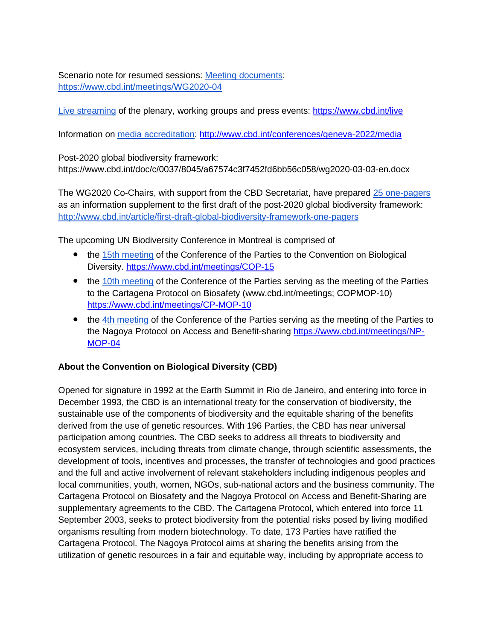Scenario note for resumed sessions: Meeting [documents:](https://www.cbd.int/meetings/WG2020-04) <https://www.cbd.int/meetings/WG2020-04>

Live [streaming](https://www.cbd.int/live) of the plenary, working groups and press events: <https://www.cbd.int/live>

Information on media [accreditation:](http://www.cbd.int/conferences/geneva-2022/media) <http://www.cbd.int/conferences/geneva-2022/media>

Post-2020 global biodiversity framework: https://www.cbd.int/doc/c/0037/8045/a67574c3f7452fd6bb56c058/wg2020-03-03-en.docx

The WG2020 Co-Chairs, with support from the CBD Secretariat, have prepared 25 [one-pagers](http://www.cbd.int/article/first-draft-global-biodiversity-framework-one-pagers) as an information supplement to the first draft of the post-2020 global biodiversity framework: <http://www.cbd.int/article/first-draft-global-biodiversity-framework-one-pagers>

The upcoming UN Biodiversity Conference in Montreal is comprised of

- the 15th [meeting](http://www.cbd.int/meetings/COP-15) of the Conference of the Parties to the Convention on Biological Diversity. <https://www.cbd.int/meetings/COP-15>
- the 10th [meeting](https://www.cbd.int/meetings/CP-MOP-10) of the Conference of the Parties serving as the meeting of the Parties to the Cartagena Protocol on Biosafety (www.cbd.int/meetings; COPMOP-10) <https://www.cbd.int/meetings/CP-MOP-10>
- the 4th [meeting](https://www.cbd.int/meetings/NP-MOP-04) of the Conference of the Parties serving as the meeting of the Parties to the Nagoya Protocol on Access and Benefit-sharing [https://www.cbd.int/meetings/NP-](https://www.cbd.int/meetings/NP-MOP-04)[MOP-04](https://www.cbd.int/meetings/NP-MOP-04)

## **About the Convention on Biological Diversity (CBD)**

Opened for signature in 1992 at the Earth Summit in Rio de Janeiro, and entering into force in December 1993, the CBD is an international treaty for the conservation of biodiversity, the sustainable use of the components of biodiversity and the equitable sharing of the benefits derived from the use of genetic resources. With 196 Parties, the CBD has near universal participation among countries. The CBD seeks to address all threats to biodiversity and ecosystem services, including threats from climate change, through scientific assessments, the development of tools, incentives and processes, the transfer of technologies and good practices and the full and active involvement of relevant stakeholders including indigenous peoples and local communities, youth, women, NGOs, sub-national actors and the business community. The Cartagena Protocol on Biosafety and the Nagoya Protocol on Access and Benefit-Sharing are supplementary agreements to the CBD. The Cartagena Protocol, which entered into force 11 September 2003, seeks to protect biodiversity from the potential risks posed by living modified organisms resulting from modern biotechnology. To date, 173 Parties have ratified the Cartagena Protocol. The Nagoya Protocol aims at sharing the benefits arising from the utilization of genetic resources in a fair and equitable way, including by appropriate access to